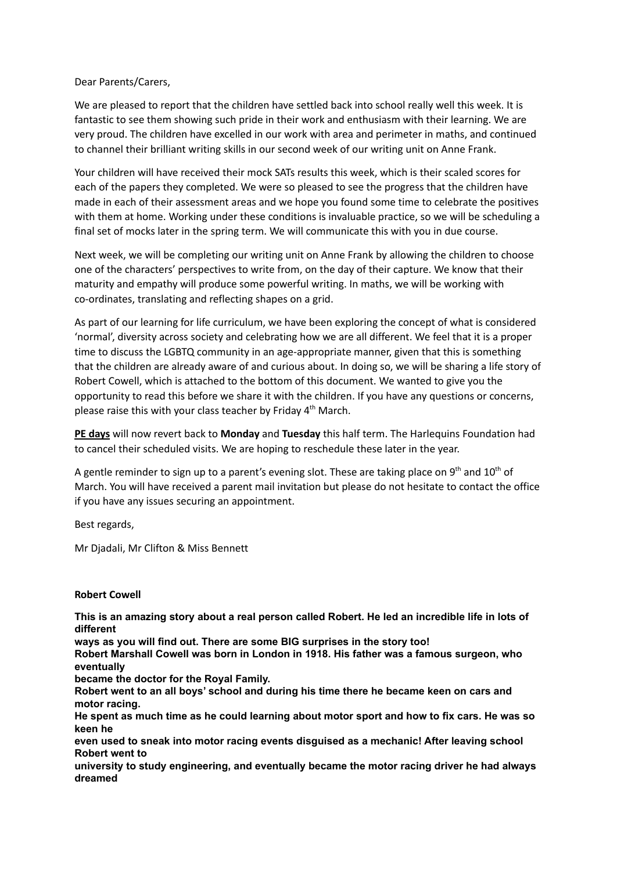## Dear Parents/Carers,

We are pleased to report that the children have settled back into school really well this week. It is fantastic to see them showing such pride in their work and enthusiasm with their learning. We are very proud. The children have excelled in our work with area and perimeter in maths, and continued to channel their brilliant writing skills in our second week of our writing unit on Anne Frank.

Your children will have received their mock SATs results this week, which is their scaled scores for each of the papers they completed. We were so pleased to see the progress that the children have made in each of their assessment areas and we hope you found some time to celebrate the positives with them at home. Working under these conditions is invaluable practice, so we will be scheduling a final set of mocks later in the spring term. We will communicate this with you in due course.

Next week, we will be completing our writing unit on Anne Frank by allowing the children to choose one of the characters' perspectives to write from, on the day of their capture. We know that their maturity and empathy will produce some powerful writing. In maths, we will be working with co-ordinates, translating and reflecting shapes on a grid.

As part of our learning for life curriculum, we have been exploring the concept of what is considered 'normal', diversity across society and celebrating how we are all different. We feel that it is a proper time to discuss the LGBTQ community in an age-appropriate manner, given that this is something that the children are already aware of and curious about. In doing so, we will be sharing a life story of Robert Cowell, which is attached to the bottom of this document. We wanted to give you the opportunity to read this before we share it with the children. If you have any questions or concerns, please raise this with your class teacher by Friday 4<sup>th</sup> March.

**PE days** will now revert back to **Monday** and **Tuesday** this half term. The Harlequins Foundation had to cancel their scheduled visits. We are hoping to reschedule these later in the year.

A gentle reminder to sign up to a parent's evening slot. These are taking place on 9<sup>th</sup> and 10<sup>th</sup> of March. You will have received a parent mail invitation but please do not hesitate to contact the office if you have any issues securing an appointment.

Best regards,

Mr Djadali, Mr Clifton & Miss Bennett

## **Robert Cowell**

This is an amazing story about a real person called Robert. He led an incredible life in lots of **different**

**ways as you will find out. There are some BIG surprises in the story too!**

**Robert Marshall Cowell was born in London in 1918. His father was a famous surgeon, who eventually**

**became the doctor for the Royal Family.**

**Robert went to an all boys' school and during his time there he became keen on cars and motor racing.**

He spent as much time as he could learning about motor sport and how to fix cars. He was so **keen he**

**even used to sneak into motor racing events disguised as a mechanic! After leaving school Robert went to**

**university to study engineering, and eventually became the motor racing driver he had always dreamed**